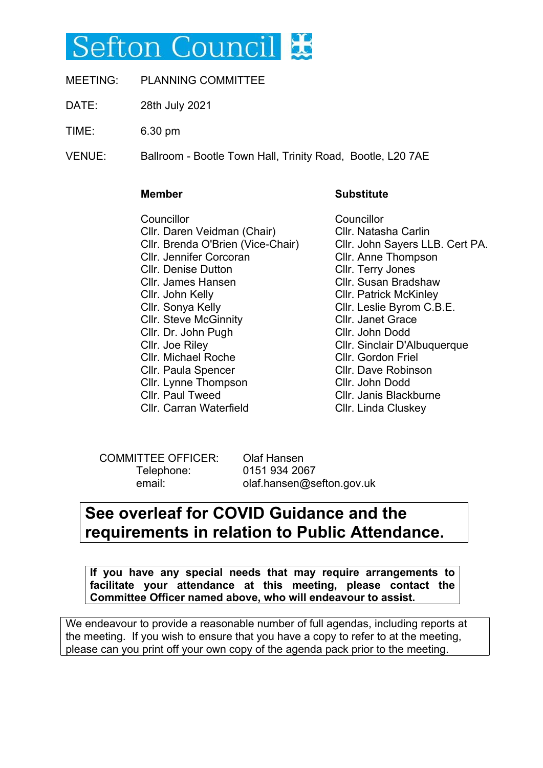# Sefton Council **X**

- MEETING: PLANNING COMMITTEE
- DATE: 28th July 2021
- TIME: 6.30 pm

VENUE: Ballroom - Bootle Town Hall, Trinity Road, Bootle, L20 7AE

#### **Member**

#### Councillor Cllr. Daren Veidman (Chair) Cllr. Brenda O'Brien (Vice-Chair) Cllr. Jennifer Corcoran Cllr. Denise Dutton Cllr. James Hansen Cllr. John Kelly Cllr. Sonya Kelly Cllr. Steve McGinnity Cllr. Dr. John Pugh Cllr. Joe Riley Cllr. Michael Roche Cllr. Paula Spencer Cllr. Lynne Thompson Cllr. Paul Tweed Cllr. Carran Waterfield

### **Substitute**

**Councillor** Cllr. Natasha Carlin Cllr. John Sayers LLB. Cert PA. Cllr. Anne Thompson Cllr. Terry Jones Cllr. Susan Bradshaw Cllr. Patrick McKinley Cllr. Leslie Byrom C.B.E. Cllr. Janet Grace Cllr. John Dodd Cllr. Sinclair D'Albuquerque Cllr. Gordon Friel Cllr. Dave Robinson Cllr. John Dodd Cllr. Janis Blackburne Cllr. Linda Cluskey

COMMITTEE OFFICER: Olaf Hansen Telephone: 0151 934 2067

email: olaf.hansen@sefton.gov.uk

# **See overleaf for COVID Guidance and the requirements in relation to Public Attendance.**

**If you have any special needs that may require arrangements to facilitate your attendance at this meeting, please contact the Committee Officer named above, who will endeavour to assist.**

We endeavour to provide a reasonable number of full agendas, including reports at the meeting. If you wish to ensure that you have a copy to refer to at the meeting, please can you print off your own copy of the agenda pack prior to the meeting.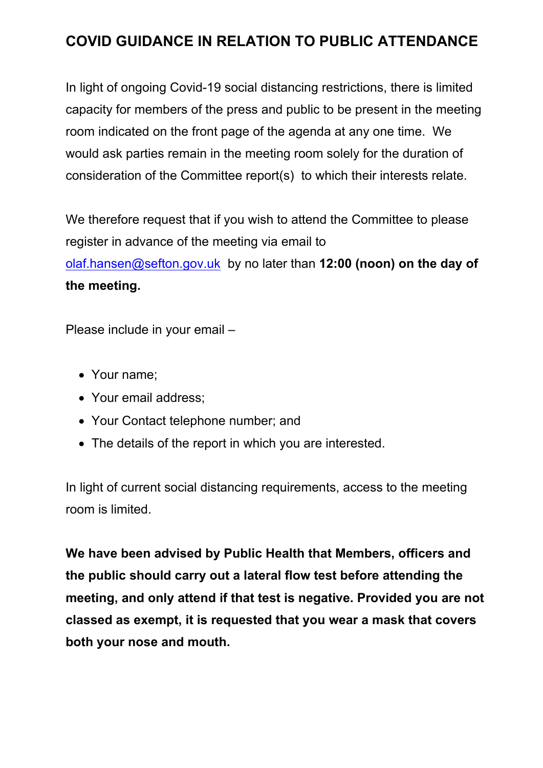# **COVID GUIDANCE IN RELATION TO PUBLIC ATTENDANCE**

In light of ongoing Covid-19 social distancing restrictions, there is limited capacity for members of the press and public to be present in the meeting room indicated on the front page of the agenda at any one time. We would ask parties remain in the meeting room solely for the duration of consideration of the Committee report(s) to which their interests relate.

We therefore request that if you wish to attend the Committee to please register in advance of the meeting via email to [olaf.hansen@sefton.gov.uk](mailto:olaf.hansen@sefton.gov.uk) by no later than **12:00 (noon) on the day of the meeting.**

Please include in your email –

- Your name;
- Your email address;
- Your Contact telephone number; and
- The details of the report in which you are interested.

In light of current social distancing requirements, access to the meeting room is limited.

**We have been advised by Public Health that Members, officers and the public should carry out a lateral flow test before attending the meeting, and only attend if that test is negative. Provided you are not classed as exempt, it is requested that you wear a mask that covers both your nose and mouth.**